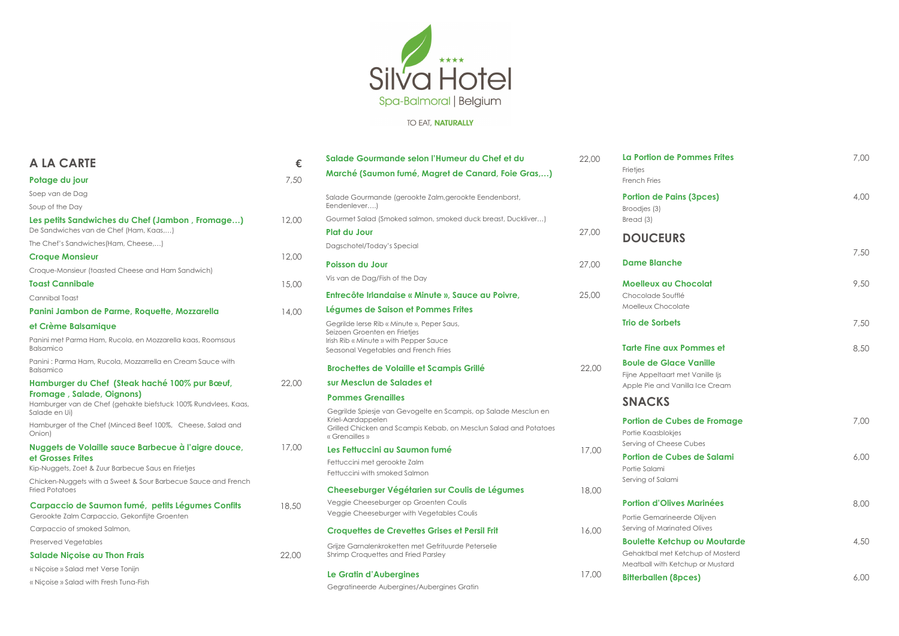

# TO EAT, NATURALLY

| <b>A LA CARTE</b>                                                                           | €     | Salade Gourmande selon l'Humeur du Chef et du                                              | 22,00 | La Portion de P                             |
|---------------------------------------------------------------------------------------------|-------|--------------------------------------------------------------------------------------------|-------|---------------------------------------------|
|                                                                                             |       | Marché (Saumon fumé, Magret de Canard, Foie Gras,)                                         |       | Frietjes                                    |
| Potage du jour                                                                              | 7,50  |                                                                                            |       | French Fries                                |
| Soep van de Dag<br>Soup of the Day                                                          |       | Salade Gourmande (gerookte Zalm, gerookte Eendenborst,<br>Eendenlever)                     |       | <b>Portion de Pain</b><br>Broodjes (3)      |
| Les petits Sandwiches du Chef (Jambon, Fromage)                                             | 12,00 | Gourmet Salad (Smoked salmon, smoked duck breast, Duckliver)                               |       | Bread (3)                                   |
| De Sandwiches van de Chef (Ham, Kaas,)                                                      |       | <b>Plat du Jour</b>                                                                        | 27,00 |                                             |
| The Chef's Sandwiches(Ham, Cheese,)                                                         |       | Dagschotel/Today's Special                                                                 |       | <b>DOUCEURS</b>                             |
| <b>Croque Monsieur</b>                                                                      | 12,00 |                                                                                            |       | <b>Dame Blanche</b>                         |
| Croque-Monsieur (toasted Cheese and Ham Sandwich)                                           |       | <b>Poisson du Jour</b>                                                                     | 27,00 |                                             |
| <b>Toast Cannibale</b>                                                                      | 15,00 | Vis van de Dag/Fish of the Day                                                             |       | Moelleux au C                               |
| Cannibal Toast                                                                              |       | Entrecôte Irlandaise « Minute », Sauce au Poivre,                                          | 25,00 | Chocolade Souffle                           |
| Panini Jambon de Parme, Roquette, Mozzarella                                                | 14,00 | Légumes de Saison et Pommes Frites                                                         |       | Moelleux Chocolc                            |
| et Crème Balsamique                                                                         |       | Gegrilde Ierse Rib « Minute », Peper Saus,<br>Seizoen Groenten en Frietjes                 |       | <b>Trio de Sorbets</b>                      |
| Panini met Parma Ham, Rucola, en Mozzarella kaas, Roomsaus<br><b>Balsamico</b>              |       | Irish Rib « Minute » with Pepper Sauce<br>Seasonal Vegetables and French Fries             |       | <b>Tarte Fine aux I</b>                     |
| Panini : Parma Ham, Rucola, Mozzarrella en Cream Sauce with<br><b>Balsamico</b>             |       | <b>Brochettes de Volaille et Scampis Grillé</b>                                            | 22,00 | <b>Boule de Glace</b>                       |
| Hamburger du Chef (Steak haché 100% pur Bœuf,                                               | 22,00 | sur Mesclun de Salades et                                                                  |       | Fijne Appeltaart m<br>Apple Pie and Var     |
| Fromage, Salade, Oignons)<br>Hamburger van de Chef (gehakte biefstuck 100% Rundvlees, Kaas, |       | <b>Pommes Grenailles</b>                                                                   |       | <b>SNACKS</b>                               |
| Salade en Ui)                                                                               |       | Gegrilde Spiesje van Gevogelte en Scampis, op Salade Mesclun en<br>Kriel-Aardappelen       |       |                                             |
| Hamburger of the Chef (Minced Beef 100%, Cheese, Salad and<br>Onion)                        |       | Grilled Chicken and Scampis Kebab, on Mesclun Salad and Potatoes<br>« Grenailles »         |       | <b>Portion de Cub</b><br>Portie Kaasblokjes |
| Nuggets de Volaille sauce Barbecue à l'aigre douce,                                         | 17,00 | Les Fettuccini au Saumon fumé                                                              | 17,00 | Serving of Cheese                           |
| et Grosses Frites                                                                           |       | Fettuccini met gerookte Zalm                                                               |       | <b>Portion de Cub</b>                       |
| Kip-Nuggets, Zoet & Zuur Barbecue Saus en Frietjes                                          |       | Fettuccini with smoked Salmon                                                              |       | Portie Salami                               |
| Chicken-Nuggets with a Sweet & Sour Barbecue Sauce and French<br><b>Fried Potatoes</b>      |       | Cheeseburger Végétarien sur Coulis de Légumes                                              | 18,00 | Serving of Salami                           |
| Carpaccio de Saumon fumé, petits Légumes Confits                                            | 18,50 | Veggie Cheeseburger op Groenten Coulis                                                     |       | <b>Portion d'Olives</b>                     |
| Gerookte Zalm Carpaccio, Gekonfijte Groenten                                                |       | Veggie Cheeseburger with Vegetables Coulis                                                 |       | Portie Gemarineer                           |
| Carpaccio of smoked Salmon,                                                                 |       | <b>Croquettes de Crevettes Grises et Persil Frit</b>                                       | 16,00 | Serving of Marinat                          |
| <b>Preserved Vegetables</b>                                                                 |       |                                                                                            |       | <b>Boulette Ketch</b>                       |
| <b>Salade Niçoise au Thon Frais</b>                                                         | 22,00 | Grijze Garnalenkroketten met Gefrituurde Peterselie<br>Shrimp Croquettes and Fried Parsley |       | Gehaktbal met Ke                            |
| « Niçoise » Salad met Verse Tonijn                                                          |       |                                                                                            |       | Meatball with Keto                          |
| « Niçoise » Salad with Fresh Tuna-Fish                                                      |       | Le Gratin d'Aubergines                                                                     | 17,00 | <b>Bitterballen (8p</b>                     |
|                                                                                             |       | Gegratineerde Aubergines/Aubergines Gratin                                                 |       |                                             |

| La Portion de Pommes Frites                                                                                 | 7,00 |
|-------------------------------------------------------------------------------------------------------------|------|
| Frietjes                                                                                                    |      |
| <b>French Fries</b>                                                                                         |      |
| <b>Portion de Pains (3pces)</b><br>Broodjes (3)<br>Bread (3)                                                | 4,00 |
| <b>DOUCEURS</b>                                                                                             |      |
| <b>Dame Blanche</b>                                                                                         | 7,50 |
| <b>Moelleux au Chocolat</b><br>Chocolade Soufflé<br>Moelleux Chocolate                                      | 9,50 |
| <b>Trio de Sorbets</b>                                                                                      | 7,50 |
| <b>Tarte Fine aux Pommes et</b>                                                                             | 8,50 |
| <b>Boule de Glace Vanille</b><br>Fijne Appeltaart met Vanille Ijs<br>Apple Pie and Vanilla Ice Cream        |      |
| <b>SNACKS</b>                                                                                               |      |
| <b>Portion de Cubes de Fromage</b><br>Portie Kaasblokjes<br>Serving of Cheese Cubes                         | 7,00 |
| <b>Portion de Cubes de Salami</b><br>Portie Salami<br>Serving of Salami                                     | 6,00 |
| <b>Portion d'Olives Marinées</b>                                                                            | 8,00 |
| Portie Gemarineerde Olijven<br>Serving of Marinated Olives                                                  |      |
| <b>Boulette Ketchup ou Moutarde</b><br>Gehaktbal met Ketchup of Mosterd<br>Meatball with Ketchup or Mustard | 4,50 |
| <b>Bitterballen (8pces)</b>                                                                                 | 6,00 |